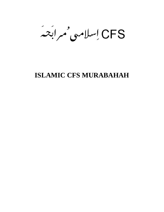CFS إسلامهی ممرابَعه

# **ISLAMIC CFS MURABAHAH**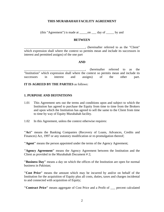#### **THIS MURABAHAH FACILITY AGREEMENT**

(this "Agreement") is made at \_\_\_\_\_on \_\_\_ day of \_\_\_\_\_ by and

#### **BETWEEN**

\_\_\_\_\_\_\_\_\_\_\_\_\_\_\_\_\_\_\_\_\_\_\_\_\_\_\_\_\_\_\_\_\_\_\_\_\_\_, (hereinafter referred to as the "Client" which expression shall where the context so permits mean and include its successors in interest and permitted assigns) of the one part

#### **AND**

\_\_\_\_\_\_\_\_\_\_\_\_\_\_\_\_\_\_\_\_\_\_\_\_\_\_\_\_\_\_\_\_\_\_\_\_\_\_, (hereinafter referred to as the "Institution" which expression shall where the context so permits mean and include its successors in interest and assigns) of the other part.

**IT IS AGREED BY THE PARTIES** as follows:

#### **1. PURPOSE AND DEFINITIONS**

- 1.01 This Agreement sets out the terms and conditions upon and subject to which the Institution has agreed to purchase the Equity from time to time from the Brokers and upon which the Institution has agreed to sell the same to the Client from time to time by way of Equity Murabahah facility.
- 1.02 In this Agreement, unless the context otherwise requires:

**"Act"** means the Banking Companies (Recovery of Loans, Advances, Credits and Finances) Act, 1997 or any statutory modification or re-promulgation thereof;

**"Agent"** means the person appointed under the terms of the Agency Agreement;

**"Agency Agreement"** means the Agency Agreement between the Institution and the Client as provided in the Murabahah Document # 2;

**"Business Day"** means a day on which the offices of the Institution are open for normal business in Pakistan;

**"Cost Price"** means the amount which may be incurred by and/or on behalf of the Institution for the acquisition of Equity plus all costs, duties, taxes and charges incidental to and connected with acquisition of Equity;

**"Contract Price"** means aggregate of Cost Price and a Profit of \_\_\_ percent calculated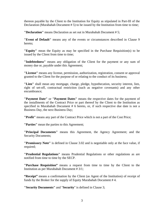thereon payable by the Client to the Institution for Equity as stipulated in Part-III of the Declaration (Murabahah Document # 5) to be issued by the Institution from time to time;

**"Declaration"** means Declaration as set out in Murabahah Document # 5;

**"Event of Default"** means any of the events or circumstances described in Clause 9 hereto;

**"Equity"** mean the Equity as may be specified in the Purchase Requisition(s) to be issued by the Client from time to time;

**"Indebtedness"** means any obligation of the Client for the payment or any sum of money due or, payable under this Agreement;

**"License"** means any license, permission, authorization, registration, consent or approval granted to the Client for the purpose of or relating to the conduct of its business;

**"Lien"** shall mean any mortgage, charge, pledge, hypothecation, security interest, lien, right of set-off, contractual restriction (such as negative covenants) and any other encumbrance;

**"Payment Date"** or **"Payment Dates"** means the respective dates for the payment of the installments of the Contract Price or part thereof by the Client to the Institution as specified in Murabahah Document # 6 hereto, or, if such respective due date is not a Business Day, the next Business Day;

**"Profit"** means any part of the Contract Price which is not a part of the Cost Price;

**"Parties"** mean the parties to this Agreement;

**"Principal Documents"** means this Agreement, the Agency Agreement; and the Security Documents;

**"Promissory Note"** is defined in Clause 3.02 and is negotiable only at the face value, if required;

**"Prudential Regulations"** means Prudential Regulations or other regulations as are notified from time to time by the SECP.

**"Purchase Requisition"** means a request from time to time by the Client to the Institution as per Murabahah Document # 3/1;

**"Receipt"** means a confirmation by the Client (as Agent of the Institution) of receipt of funds by the Broker for the supply of Equity Murabahah Document # 4.

**"Security Documents"** and "**Security**" is defined in Clause 3;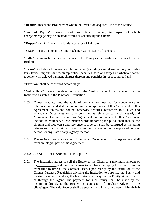**"Broker"** means the Broker from whom the Institution acquires Title to the Equity;

**"Secured Equity"** means (insert description of equity in respect of which charge/mortgage may be created) offered as security by the Client;

**"Rupees"** or "Rs." means the lawful currency of Pakistan;

**"SECP"** means the Securities and Exchange Commission of Pakistan;

**"Title"** means such title or other interest in the Equity as the Institution receives from the Broker;

**"Taxes"** includes all present and future taxes (including central excise duty and sales tax), levies, imposts, duties, stamp duties, penalties, fees or charges of whatever nature together with delayed payment charges thereon and penalties in respect thereof and

"**Taxation**" shall be construed accordingly;

**"Value Date"** means the date on which the Cost Price will be disbursed by the Institution as stated in the Purchase Requisition.

- 1.03 Clause headings and the table of contents are inserted for convenience of reference only and shall be ignored in the interpretation of this Agreement. In this Agreement, unless the context otherwise requires, references to Clauses and Murabahah Documents are to be construed as references to the clauses of, and Murabahah Documents to, this Agreement and references to this Agreement include its Murabahah Documents; words importing the plural shall include the singular and vice versa and reference to a person shall be construed as including references to an individual, firm, Institution, corporation, unincorporated body of persons or any state or any Agency thereof.
- 1.04 The recitals herein above and Murabahah Documents to this Agreement shall form an integral part of this Agreement.

## **2. SALE AND PURCHASE OF THE EQUITY**

2.01 The Institution agrees to sell the Equity to the Client to a maximum amount of Rs and the Client agrees to purchase the Equity from the Institution from time to time at the Contract Price. Upon receipt by the Institution of the Client's Purchase Requisition advising the Institution to purchase the Equity and making payment therefore, the Institution shall acquire the Equity either directly or through the Agent. The payment for such equity shall be made by the institution directly to the Broker on submission of Purchase Advice by the client/agent. The said Receipt shall be substantially in a form given in Murabahah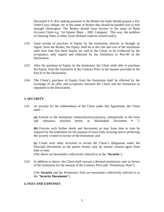Document # 4. (For making payment to the Broker the bank should prepare a Pay Order/Cross cheque, etc in the name of Broker that should be handed over to him through client/agent. The Broker should issue invoice in the name of Bank Account Client e.g. '1st Islamic Bank – ABC Company'. This way, the problem of claiming Sales or other Taxes Refund could be solved easily).

- 2.02 Upon receipt of purchase of Equity by the Institution, directly or through an Agent, from the Broker, the Equity shall be at the risk and cost of the Institution until such time that these Equity are sold to the Client, to be evidenced by the acceptance, duly signed and endorsed by the Institution in Part-III of the Declaration.
- 2.03 After the purchase of Equity by the Institution, the Client shall offer to purchase the Equity from the Institution at the Contract Price in the manner provided in the Part-II of the Declaration.
- 2.04 The Client's purchase of Equity from the Institution shall be effected by the exchange of an offer and acceptance between the Client and the Institution as stipulated in the Declaration.

## **3. SECURITY**

3.01 As security for the indebtedness of the Client under this Agreement, the Client shall: -

**(a)** Furnish to the Institution collateral(s)/security(ies), substantially in the form and substance attached hereto as Murabahah Document # 7;

**(b)** Execute such further deeds and documents as may from time to time be required by the Institution for the purpose of more fully securing and or perfecting the security created in favour of the Institution; and

**(c)** Create such other securities to secure the Client's obligations under the Principal Documents as the parties hereto, may by mutual consent agree from time to time.

(The above are hereinafter collectively referred to as the "**Security**").

3.02 In addition to above, the Client shall execute a demand promissory note in favour of the Institution for the amount of the Contract Price (the "Promissory Note");

(The **Security** and the Promissory Note are hereinafter collectively referred to as the "**Security Documents**").

#### **4. FEES AND EXPENSES**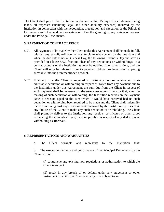The Client shall pay to the Institution on demand within 15 days of such demand being made, all expenses (including legal and other ancillary expenses) incurred by the Institution in connection with the negotiation, preparation and execution of the Principal Documents and of amendment or extension of or the granting of any waiver or consent under the Principal Documents.

#### **5. PAYMENT OF CONTRACT PRICE**

- 5.01 All payments to be made by the Client under this Agreement shall be made in full, without any set-off, roll over or counterclaim whatsoever, on the due date and when the due date is not a Business Day, the following Business Day and save as provided in Clause 5.02, free and clear of any deductions or withholdings, to a current account of the Institution as may be notified from time to time, and the Client will only be released from its payment obligations hereunder by paying sums due into the aforementioned account.
- 5.02 If at any time the Client is required to make any non refundable and nonadjustable deduction or withholding in respect of Taxes from any payment due to the Institution under this Agreement, the sum due from the Client in respect of such payment shall be increased to the extent necessary to ensure that, after the making of such deduction or withholding, the Institution receives on the Payment Date, a net sum equal to the sum which it would have received had no such deduction or withholding been required to be made and the Client shall indemnify the Institution against any losses or costs incurred by the Institution by reason of any failure of the Client to make any such deduction or withholding. The Client shall promptly deliver to the Institution any receipts, certificates or other proof evidencing the amounts (if any) paid or payable in respect of any deduction or withholding as aforesaid.

#### **6. REPRESENTATIONS AND WARRANTIES**

**a.** The Client warrants and represents to the Institution that:

**b.** The execution, delivery and performance of the Principal Documents by the Client will not

**(i)** contravene any existing law, regulations or authorization to which the Client is subject

**(ii)** result in any breach of or default under any agreement or other instrument to which the Client is a party or is subject to, or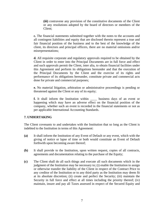**(iii)** contravene any provision of the constitutive documents of the Client or any resolutions adopted by the board of directors or members of the Client;

**c.** The financial statements submitted together with the notes to the accounts and all contingent liabilities and equity that are disclosed therein represent a true and fair financial position of the business and to the best of the knowledge of the client, its directors and principal officers, there are no material omissions and/or misrepresentations;

**d.** All requisite corporate and regulatory approvals required to be obtained by the Client in order to enter into the Principal Documents are in full force and effect and such approvals permit the Client, inter alia, to obtain financial facilities under this Agreement and perform its obligations hereunder and that the execution of the Principal Documents by the Client and the exercise of its rights and performance of its obligations hereunder, constitute private and commercial acts done for private and commercial purposes;

**e.** No material litigation, arbitration or administrative proceedings is pending or threatened against the Client or any of its equity;

**f.** It shall inform the Institution within business days of an event or happening which may have an adverse effect on the financial position of the company, whether such an event is recorded in the financial statements or not as per applicable International Accounting Standards.

## **7. UNDERTAKING**

The Client covenants to and undertakes with the Institution that so long as the Client is indebted to the Institution in terms of this Agreement:

- **(a)** It shall inform the Institution of any Event of Default or any event, which with the giving of notice or lapse of time or both would constitute an Event of Default forthwith upon becoming aware thereof;
- **(b)** It shall provide to the Institution, upon written request, copies of all contracts, agreements and documentation relating to the purchase of the Equity;
- **(c)** The Client shall do all such things and execute all such documents which in the judgment of the Institution may be necessary to; (i) enable the Institution to assign or otherwise transfer the liability of the Client in respect of the Contract Price to any creditor of the Institution or to any third party as the Institution may deem fit at its absolute discretion; (ii) create and perfect the Security; (iii) maintain the Security in full force and effect at all times including the priority thereof; (iv) maintain, insure and pay all Taxes assessed in respect of the Secured Equity and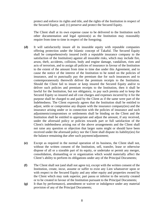protect and enforce its rights and title, and the rights of the Institution in respect of the Secured Equity, and; (v) preserve and protect the Secured Equity.

The Client shall at its own expense cause to be delivered to the Institution such other documentation and legal opinion(s) as the Institution may reasonably require from time to time in respect of the foregoing;

- **(d)** It will satisfactorily insure all its insurable equity with reputable companies offering protection under the Islamic concept of Takaful. The Secured Equity shall be comprehensively insured (with a reputable insurance company to the satisfaction of the Institution) against all insurable risks, which may include fire, arson, theft, accidents, collision, body and engine damage, vandalism, riots and acts of terrorism, and to assign all policies of insurance in favour of the Institution to the extent of the amount from time to time due under this Agreement, and to cause the notice of the interest of the Institution to be noted on the policies of insurance, and to punctually pay the premium due for such insurances and to contemporaneously therewith deliver the premium receipts to the Institution. Should the Client fail to insure or keep insured the Secured Equity and/or to deliver such policies and premium receipts to the Institution, then it shall be lawful for the Institution, but not obligatory, to pay such premia and to keep the Secured Equity so insured and all cost charges and expenses incurred by it for the purpose shall be charged to and paid by the Client as if the same were part of the Indebtedness. The Client expressly agrees that the Institution shall be entitled to adjust, settle or compromise any dispute with the insurance company(ies) and the insurance arising under or in connection with the policies of insurance and such adjustments/compromises or settlements shall be binding on the Client and the Institution shall be entitled to appropriate and adjust the amount, if any received, under the aforesaid policy or policies towards part or full satisfaction of the Client's indebtedness arising out of the above arrangements and the Client shall not raise any question or objection that larger sums might or should have been received under the aforesaid policy nor the Client shall dispute its liability(ies) for the balance remaining due after such payment/adjustment;
- **(e)** Except as required in the normal operation of its business, the Client shall not, without the written consent of the Institution, sell, transfer, lease or otherwise dispose of all or a sizeable part of its equity, or undertake or permit any merger, consolidation, dismantling or re organization which would materially affect the Client's ability to perform its obligations under any of the Principal Documents;
- **(f)** The Client shall not (and shall not agree to), except with the written consent of the Institution, create, incur, assume or suffer to exist any Lien whatsoever upon or with respect to the Secured Equity and any other equity and properties owned by the Client which may rank superior, pari passu or inferior to the security created or to be created in favour of the Institution pursuant to the Principal Documents;
- **(g)** It than by performance), amendment or waiver or indulgence under any material provision of any of the Principal Documents;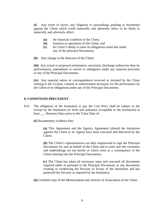**(i)** Any event or factor, any litigation or proceedings pending or threatened against the Client which could materially and adversely affect or be likely to materially and adversely affect:

- **(a)** the financial condition of the Client;
- **(b)** business or operations of the Client; and
- **(c)** he Client's ability to meet its obligations when due under any of the principal Documents;
- **(ii)** Any change in the directors of the Client;

**(iii)** Any actual or proposed termination, rescission, discharge (otherwise than by performance), amendment or waiver or indulgence under any material provision of any of the Principal Documents;

**(iv)** Any material notice or correspondence received or initiated by the Client relating to the License, consent or authorization necessary for the performance by the Client of its obligations under any of the Principal Documents.

#### **8. CONDITIONS PRECEDENT**

8.01 The obligation of the Institution to pay the Cost Price shall be subject to the receipt by the Institution (in form and substance acceptable to the Institution) at least \_\_\_ Business Days prior to the Value Date of:

**(i)** Documentary evidence that:

**(a)** This Agreement and the Agency Agreement (should the Institution appoint the Client as its Agent) have been executed and delivered by the Client;

**(b)** The Client's representatives are duly empowered to sign the Principal Documents for and on behalf of the Client and to enter into the covenants and undertakings set out herein or which arise as a consequence of the Client entering into the Principal Documents;

**(c)** The Client has taken all necessary steps and executed all documents required under or pursuant to the Principal Documents or any documents creating or evidencing the Security in favour of the Institution and has perfected the Security as required by the Institution.

**(ii)** Certified copy of the Memorandum and Articles of Association of the Client.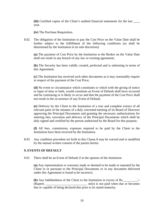**(iii)** Certified copies of the Client's audited financial statements for the last \_\_\_\_ year.

**(iv)** The Purchase Requisition.

8.02 The obligation of the Institution to pay the Cost Price on the Value Date shall be further subject to the fulfillment of the following conditions (as shall be determined by the Institution in its sole discretion):

**(a)** The payment of Cost Price by the Institution to the Broker on the Value Date shall not result in any breach of any law or existing agreement;

**(b)** The Security has been validly created, perfected and is subsisting in terms of this Agreement;

**(c)** The Institution has received such other documents as it may reasonably require in respect of the payment of the Cost Price;

**(d)** No event or circumstance which constitutes or which with the giving of notice or lapse of time or both, would constitute an Event of Default shall have occurred and be continuing or is likely to occur and that the payment of the Cost Price shall not result in the occurrence of any Event of Default;

**(e)** Delivery by the Client to the Institution of a true and complete extract of all relevant parts of the minutes of a duly convened meeting of its Board of Directors approving the Principal Documents and granting the necessary authorizations for entering into, execution and delivery of the Principal Documents which shall be duly signed and certified by the person authorized by the Board for this purpose;

**(f)** All fees, commission, expenses required to be paid by the Client to the Institution have been received by the Institution.

8.03 Any condition precedent set forth in this Clause 8 may be waived and or modified by the mutual written consent of the parties hereto.

#### **9. EVENTS OF DEFAULT**

9.01 There shall be an Event of Default if in the opinion of the Institution

**(a)** Any representation or warranty made or deemed to be made or repeated by the Client in or pursuant to the Principal Documents or in any document delivered under this Agreement is found to be incorrect;

**(b)** Any Indebtedness of the Client to the Institution in excess of Rs.\_\_\_\_\_\_\_\_\_/- (Rupees \_\_\_\_\_\_\_\_\_\_\_\_\_\_\_\_\_\_\_\_\_\_\_\_\_\_ only) is not paid when due or becomes due or capable of being declared due prior to its stated maturity;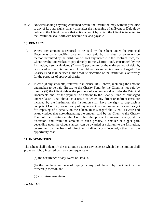9.02 Notwithstanding anything contained herein, the Institution may without prejudice to any of its other rights, at any time after the happening of an Event of Default by notice to the Client declare that entire amount by which the Client is indebted to the Institution shall forthwith become due and payable.

# **10. PENALTY**

- 10.1. Where any amount is required to be paid by the Client under the Principal Documents on a specified date and is not paid by that date, or an extension thereof, permitted by the Institution without any increase in the Contract Price, the Client hereby undertakes to pay directly to the Charity Fund, constituted by the Institution, a sum calculated @ ------% per annum for the entire period of default, calculated on the total amount of the obligations remaining un-discharged. The Charity Fund shall be used at the absolute discretion of the Institution, exclusively for the purposes of approved charity.
- 10.2. In case (i) any amount(s) referred to in clause 10.01 above, including the amount undertaken to be paid directly to the Charity Fund, by the Client, is not paid by him, or (ii) the Client delays the payment of any amount due under the Principal Documents and/ or the payment of amount to the Charity Fund as envisaged under Clause 10.01 above, as a result of which any direct or indirect costs are incurred by the Institution, the Institution shall have the right to approach a competent Court (i) for recovery of any amounts remaining unpaid as well as (ii) for imposing of a penalty on the Client. In this regard the Client is aware and acknowledges that notwithstanding the amount paid by the Client to the Charity Fund of the Institution, the Court has the power to impose penalty, at its discretion, and from the amount of such penalty, a smaller or bigger part, depending upon the circumstances, can be awarded as solatium to the Institution, determined on the basis of direct and indirect costs incurred, other than the opportunity cost.

#### **11. INDEMNITIES**

The Client shall indemnify the Institution against any expense which the Institution shall prove as rightly incurred by it as a consequence of

**(a)** the occurrence of any Event of Default,

**(b)** the purchase and sale of Equity or any part thereof by the Client or the ownership thereof, and

**(c)** any misrepresentation.

#### **12. SET-OFF**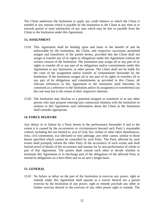The Client authorizes the Institution to apply any credit balance to which the Client is entitled or any amount which is payable by the Institution to the Client at any time in or towards partial or total satisfaction of any sum which may be due or payable from the Client to the Institution under this Agreement.

## **13. ASSIGNMENT**

- 13.01 This Agreement shall be binding upon and inure to the benefit of and be enforceable by the Institution, the Client, and respective successors permitted assigns and transferees of the parties hereto, provided that the Client shall not assign or transfer any of its rights or obligations under this Agreement without the written consent of the Institution. The Institution may assign all or any part of its rights or transfer all or any part of its obligations and/or commitments under this Agreement to any Institution, or other person. The Client shall not be liable for the costs of the assignment and/or transfer of commitments hereunder by the Institution. If the Institution assigns all or any part of its rights or transfers all or any part of its obligations and commitments as provided in this Clause, all relevant references in this Agreement to the Institution shall thereafter be construed as a reference to the Institution and/or its assignee(s) or transferee(s) (as the case may be) to the extent of their respective interests.
- 13.02 The Institution may disclose to a potential assignee or transferee or to any other person who may propose entering into contractual relations with the Institution in relation to this Agreement such information about the Client as the Institution shall consider appropriate.

## **14. FORCE MAJEURE**

Any delays in or failure by a Party hereto in the performance hereunder if and to the extent it is caused by the occurrences or circumstances beyond such Party's reasonable control, including but not limited to, acts of God, fire, strikes or other labor disturbances, riots, civil commotion, war (declared or not) sabotage, any other causes, similar to those herein specified which cannot be controlled by such Party. The Party affected by such events shall promptly inform the other Party of the occurrence of such events and shall furnish proof of details of the occurrence and reasons for its non-performance of whole or part of this Agreement. The parties shall consult each other to decide whether to terminate this Agreement or to discharge part of the obligations of the affected Party or extend its obligations on a best effort and on an arm's length basis.

## **15. GENERAL**

15.01 No failure or delay on the part of the Institution to exercise any power, right or remedy under this Agreement shall operate as a waiver thereof nor a partial exercise by the Institution of any power, right or remedy preclude any other or further exercise thereof or the exercise of any other power right or remedy. The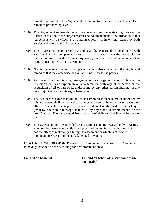remedies provided in this Agreement are cumulative and are not exclusive of any remedies provided by law;

- 15.02 This Agreement represents the entire agreement and understanding between the Parties in relation to the subject matter and no amendment or modification to this Agreement will be effective or binding unless it is in writing, signed by both Parties and refers to this Agreement;
- 15.03 This Agreement is governed by and shall be construed in accordance with Pakistan law. All competent courts at shall have the non-exclusive jurisdiction to hear and determine any action, claim or proceedings arising out of or in connection with this Agreement.
- 15.04 Nothing contained herein shall prejudice or otherwise affect the rights and remedies that may otherwise be available under law to the parties.
- 15.05 Any reconstruction, division, re-organization or change in the constitution of the Institution or its absorption in or amalgamation with any other person or the acquisition of all or part of its undertaking by any other person shall not in any way prejudice or affect its rights hereunder.
- 15.06 The two parties agree that any notice or communication required or permitted by this agreement shall be deemed to have been given to the other party seven days after the same has been posted by registered mail or the next Business Day if given by a facsimile message or telex or by any other electronic means, or the next Business Day as counted from the date of delivery if delivered by courier mail;
- 15.07 This agreement may be amended or any term or condition waived only in writing executed by persons duly authorized, provided that no term or condition which has the effect of materiality altering the agreement or which is otherwise repugnant to Sharia shall be added, deleted or waived.

**IN WITNESS WHEREOF**, the Parties to this Agreement have caused this Agreement to be duly executed on the date and year first aforementioned.

\_\_\_\_\_\_\_\_\_\_\_\_\_\_\_\_\_\_\_\_\_\_\_\_\_\_\_\_\_ \_\_\_\_\_\_\_\_\_\_\_\_\_\_\_\_\_\_\_\_\_\_\_\_\_\_\_\_\_\_\_\_\_\_

For and on behalf of **For and on behalf of linsert name of the Modaraba]**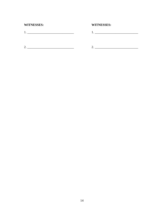# **WITNESSES:**

# **WITNESSES:**

 $1.$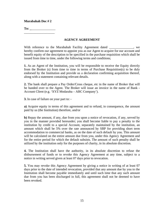**To: \_**\_\_\_\_\_\_\_\_\_\_\_\_\_\_\_ \_\_\_\_\_\_\_\_\_\_\_\_\_\_\_\_\_\_\_

## **AGENCY AGREEMENT**

With reference to the Murabahah Facility Agreement dated \_\_\_\_\_\_\_\_\_\_\_, we hereby confirm our agreement to appoint you as our Agent to acquire for our account and benefit equity of the description to be specified in the purchase requisition which shall be issued from time to time, under the following terms and conditions;

**1.** As an Agent of the Institution, you will be responsible to receive the Equity directly from the Broker (s) from time to time in terms of Purchase Requisition(s) to be duly endorsed by the Institution and provide us a declaration confirming acquisition thereof, along with a statement containing relevant details.

**2.** The bank shall prepare a Pay Order/Cross cheque, etc in the name of Broker that will be handed over to the Agent. The Broker will issue an invoice in the name of Bank - Account Client (e.g. 'XYZ Modaraba – ABC Company').

**3.** In case of failure on your part to: -

**a)** Acquire equity in terms of this agreement and to refund, in consequence, the amount paid by us (the Institution) therefore, and/or

**b)** Repay the amount, if any, due from you upon a notice of revocation, if any, served by you in the manner provided hereunder; you shall become liable to pay a penalty to the institution by credit to a special Account, separately maintained by the institution, an amount which shall be 5% over the rate announced by SBP for providing short term accommodation to commercial banks, as on the date of such default by you. This amount will be calculated on the entire amount due from you, under this Agency Agreement and for the entire period for which the default subsists. The amount of such penalty shall be utilized by the institution only for the purposes of charity, in its absolute discretion.

**4.** The Institution shall have the authority, in its absolute discretion to refuse the disbursement of funds or to revoke this Agency Agreement at any time, subject to a notice in writing served given at least 07 days prior to revocation.

**5.** You may revoke this Agency Agreement by giving a notice in writing of at least 07 days prior to the date of intended revocation, provided that any amount due by you to the Institution shall become payable immediately and until such time that any such amount due from you has been discharged in full, this agreement shall not be deemed to have been revoked.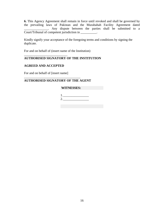**6.** This Agency Agreement shall remain in force until revoked and shall be governed by the prevailing laws of Pakistan and the Murabahah Facility Agreement dated Any dispute between the parties shall be submitted to a Court/Tribunal of competent jurisdiction in \_\_\_\_\_\_\_\_\_\_.

Kindly signify your acceptance of the foregoing terms and conditions by signing the duplicate.

For and on behalf of (insert name of the Institution)

# **AUTHORISED SIGNATORY OF THE INSTITUTION**

## **AGREED AND ACCEPTED**

For and on behalf of [insert name]

\_\_\_\_\_\_\_\_\_\_\_\_\_\_\_\_\_\_\_\_\_\_\_\_\_\_\_

## **AUTHORISED SIGNATORY OF THE AGENT**

\_\_\_\_\_\_\_\_\_\_\_\_\_\_\_\_\_\_\_\_\_\_\_\_\_\_\_\_\_\_\_\_\_\_\_

## **WITNESSES:**

1. \_\_\_\_\_\_\_\_\_\_\_\_\_\_\_\_ 2. \_\_\_\_\_\_\_\_\_\_\_\_\_\_\_\_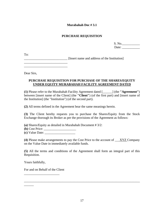## **PURCHASE REQUISITION**

| S. No. |  |
|--------|--|
| Date:  |  |

To:

\_\_\_\_\_\_\_\_\_\_\_\_\_\_\_\_\_\_\_\_\_\_\_\_\_\_\_ [Insert name and address of the Institution]

\_\_\_\_\_\_\_\_\_\_\_\_\_\_\_\_\_\_\_\_\_\_\_\_\_\_\_

Dear Sirs,

## **PURCHASE REQUISITION FOR PURCHASE OF THE SHARES/EQUITY UNDER EQUITY MURABAHAH FACILITY AGREEMENT DATED**

**(1)** Please refer to the Murabahah Facility Agreement dated [\_\_\_\_\_\_] (the **"Agreement"**) between [insert name of the Client] (the **"Client"**) (of the first part) and [insert name of the Institution] (the "Institution") (of the second part).

**(2)** All terms defined in the Agreement bear the same meanings herein.

**(3)** The Client hereby requests you to purchase the Shares/Equity from the Stock Exchange thorough its Broker as per the provisions of the Agreement as follows:

**(a)** Shares/Equity as detailed in Murabahah Document # 3/2:

**(b)** Cost Price: \_\_\_\_\_\_\_\_\_\_\_\_\_\_\_\_\_\_\_\_

**(c)** Value Date: \_\_\_\_\_\_\_\_\_\_\_\_\_\_\_\_\_\_\_

**(4)** Please make arrangements to pay the Cost Price to the account of \_\_\_XYZ Company on the Value Date in immediately available funds.

**(5)** All the terms and conditions of the Agreement shall form an integral part of this Requisition.

Yours faithfully,

 $\overline{\phantom{a}}$ 

For and on Behalf of the Client

\_\_\_\_\_\_\_\_\_\_\_\_\_\_\_\_\_\_\_\_\_\_

\_\_\_\_\_\_\_\_\_\_\_\_\_\_\_\_\_\_\_\_\_\_\_\_\_\_\_\_\_\_\_\_\_\_\_\_\_\_\_\_\_\_\_\_\_\_\_\_\_\_\_\_\_\_\_\_\_\_\_\_\_\_\_\_\_\_\_\_\_\_\_\_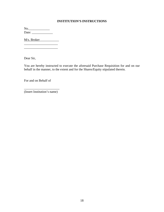# **INSTITUTION'S INSTRUCTIONS**

No.\_\_\_\_\_\_\_\_\_\_\_\_\_ Date: \_\_\_\_\_\_\_\_\_\_\_\_\_

M/s. Broker\_\_\_\_\_\_\_\_\_\_\_\_

\_\_\_\_\_\_\_\_\_\_\_\_\_\_\_\_\_\_\_\_\_

Dear Sir,

You are hereby instructed to execute the aforesaid Purchase Requisition for and on our behalf in the manner, to the extent and for the Shares/Equity stipulated therein.

For and on Behalf of

\_\_\_\_\_\_\_\_\_\_\_\_\_\_\_\_\_\_\_\_\_\_ (Insert Institution's name)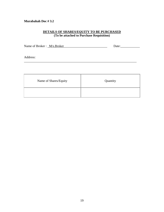## **DETAILS OF SHARES/EQUITY TO BE PURCHASED (To be attached to Purchase Requisition)**

Name of Broker : \_M/s.Broker\_\_\_\_\_\_\_\_\_\_\_\_\_\_\_\_\_\_\_\_\_\_\_\_\_\_\_ Date:\_\_\_\_\_\_\_\_\_\_\_\_

\_\_\_\_\_\_\_\_\_\_\_\_\_\_\_\_\_\_\_\_\_\_\_\_\_\_\_\_\_\_\_\_\_\_\_\_\_\_\_\_\_\_\_\_\_\_\_\_\_\_\_\_\_\_\_\_\_\_\_\_\_\_\_\_\_\_\_\_\_\_

Address:

| Name of Shares/Equity | Quantity |
|-----------------------|----------|
|                       |          |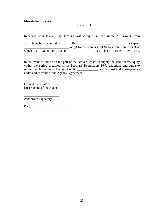## **R E C E I P T**

Received with thanks **Pay Order/Cross cheque, in the name of Broker** from

|  | branch, amounting to Rs. |  |  |                                                       |  |                         | (Rupees) |
|--|--------------------------|--|--|-------------------------------------------------------|--|-------------------------|----------|
|  |                          |  |  | only) for the purchase of Shares/Equity in respect of |  |                         |          |
|  | which a Quotation dated  |  |  |                                                       |  | has been issued by M/s. |          |
|  |                          |  |  |                                                       |  |                         |          |

In the event of failure on the part of the Broker/Broker to supply the said Shares/Equity within the period specified in the Purchase Requisition, I/We undertake and agree to refund/reimburse the full amount of Rs.\_\_\_\_\_\_\_\_\_\_\_\_\_ and all cost and consequences under and in terms of the Agency Agreement.

For and on behalf of [Insert name of the Agent)

\_\_\_\_\_\_\_\_\_\_\_\_\_\_\_\_\_\_\_\_\_\_

Authorized Signatory

Date: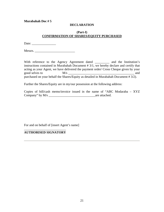## **DECLARATION**

#### **(Part-I) CONFIRMATION OF SHARES/EQUITY PURCHASED**

Date: \_\_\_\_\_\_\_\_\_\_\_\_\_\_\_

Messrs. \_\_\_\_\_\_\_\_\_\_\_\_\_\_\_\_\_\_\_\_\_\_\_\_\_

With reference to the Agency Agreement dated \_\_\_\_\_\_\_\_\_\_ and the Institution's instructions contained in Murabahah Document # 3/1, we hereby declare and certify that acting as your Agent, we have delivered the payment order/ Cross Cheque given by your good selves to M/s \_\_\_\_\_\_\_\_\_\_\_\_\_\_\_\_\_\_\_\_\_\_\_\_\_\_\_\_\_\_\_\_\_\_\_\_\_\_\_\_\_ and purchased on your behalf the Shares/Equity as detailed in Murabahah Document # 3/2).

Further the Shares/Equity are in my/our possession at the following address:

Copies of bill/cash memo/invoice issued in the name of "ABC Modaraba – XYZ Company" by M/s \_\_\_\_\_\_\_\_\_\_\_\_\_\_\_\_\_\_\_\_\_\_\_\_\_\_\_\_\_are attached.

For and on behalf of [insert Agent's name]

\_\_\_\_\_\_\_\_\_\_\_\_\_\_\_\_\_\_\_\_\_\_\_\_\_\_ **AUTHORISED SIGNATORY**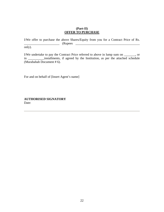#### **(Part-II) OFFER TO PURCHASE**

I/We offer to purchase the above Shares/Equity from you for a Contract Price of Rs. \_\_\_\_\_\_\_\_\_\_\_\_\_\_\_\_\_\_\_\_\_\_ (Rupees \_\_\_\_\_\_\_\_\_\_\_\_\_\_\_\_\_\_\_\_\_\_\_\_\_\_\_\_\_\_\_\_\_\_\_\_\_\_\_\_

only).

I/We undertake to pay the Contract Price referred to above in lump sum on \_\_\_\_\_\_\_, or in \_\_\_\_\_\_\_\_\_\_installments, if agreed by the Institution, as per the attached schedule (Murabahah Document # 6).

For and on behalf of [Insert Agent's name]

**AUTHORISED SIGNATORY**  Date: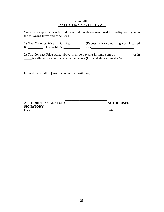#### **(Part-III) INSTITUTION'S ACCEPTANCE**

We have accepted your offer and have sold the above-mentioned Shares/Equity to you on the following terms and conditions.

**1)** The Contract Price is Pak Rs.\_\_\_\_\_\_\_\_\_ (Rupees only) comprising cost incurred Rs. \_\_\_\_\_\_\_\_\_\_, plus Profit Rs. \_\_\_\_\_\_\_\_\_\_\_\_ (Rupees\_\_\_\_\_\_\_\_\_\_\_\_\_\_\_\_\_\_\_\_\_\_\_\_\_\_\_\_\_).

**2)** The Contract Price stated above shall be payable in lump sum on \_\_\_\_\_\_\_\_\_\_ or in \_\_\_\_\_installments, as per the attached schedule (Murabahah Document # 6).

For and on behalf of [Insert name of the Institution]

 $\frac{1}{2}$  ,  $\frac{1}{2}$  ,  $\frac{1}{2}$  ,  $\frac{1}{2}$  ,  $\frac{1}{2}$  ,  $\frac{1}{2}$  ,  $\frac{1}{2}$  ,  $\frac{1}{2}$  ,  $\frac{1}{2}$  ,  $\frac{1}{2}$  ,  $\frac{1}{2}$  ,  $\frac{1}{2}$  ,  $\frac{1}{2}$  ,  $\frac{1}{2}$  ,  $\frac{1}{2}$  ,  $\frac{1}{2}$  ,  $\frac{1}{2}$  ,  $\frac{1}{2}$  ,  $\frac{1$ 

**AUTHORISED SIGNATORY AUTHORISED SIGNATORY** Date: Date:

\_\_\_\_\_\_\_\_\_\_\_\_\_\_\_\_\_\_\_\_\_\_\_\_\_\_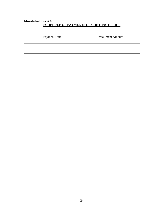# **Murabahah Doc # 6 SCHEDULE OF PAYMENTS OF CONTRACT PRICE**

| <b>Payment Date</b> | <b>Installment Amount</b> |
|---------------------|---------------------------|
|                     |                           |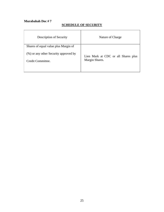# **SCHEDULE OF SECURITY**

| Description of Security                                                                            | Nature of Charge                                      |
|----------------------------------------------------------------------------------------------------|-------------------------------------------------------|
| Shares of equal value plus Margin of<br>(%) or any other Security approved by<br>Credit Committee. | Lien Mark at CDC or all Shares plus<br>Margin Shares. |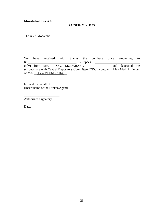#### **CONFIRMATION**

The XYZ Modaraba

 $\overline{\phantom{a}}$  , where  $\overline{\phantom{a}}$ 

We have received with thanks the purchase price amounting to Rs.\_\_\_\_\_\_\_\_\_\_\_\_\_\_\_\_\_\_\_\_\_\_\_\_\_\_\_\_\_\_ (Rupees \_\_\_\_\_\_\_\_\_\_\_\_\_\_\_\_\_\_\_\_\_\_\_\_\_\_\_\_ only) from M/s. <u>XYZ MODARABA</u> and deposited the scripts/share with Central Depository Committee (CDC) along with Lien Mark in favour of M/S \_\_XYZ MODARABA \_\_.

For and on behalf of [Insert name of the Broker/Agent]

Authorized Signatory

Date: \_\_\_\_\_\_\_\_\_\_\_\_\_\_\_\_\_

\_\_\_\_\_\_\_\_\_\_\_\_\_\_\_\_\_\_\_\_\_\_